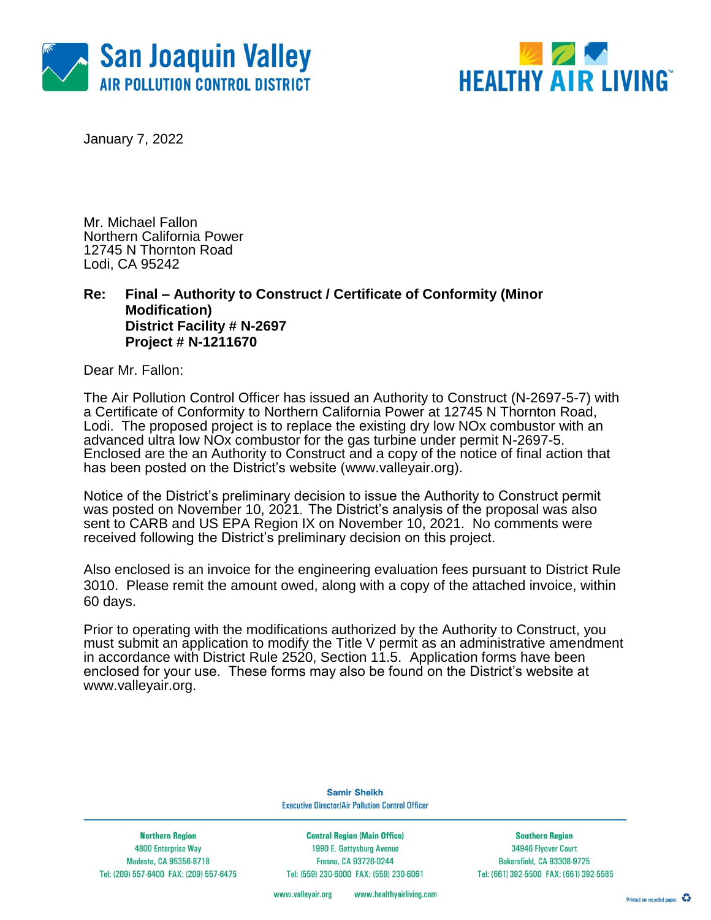



January 7, 2022

Mr. Michael Fallon Northern California Power 12745 N Thornton Road Lodi, CA 95242

### **Re: Final – Authority to Construct / Certificate of Conformity (Minor Modification) District Facility # N-2697 Project # N-1211670**

Dear Mr. Fallon:

The Air Pollution Control Officer has issued an Authority to Construct (N-2697-5-7) with a Certificate of Conformity to Northern California Power at 12745 N Thornton Road, Lodi. The proposed project is to replace the existing dry low NO<sub>x</sub> combustor with an advanced ultra low NOx combustor for the gas turbine under permit N-2697-5. Enclosed are the an Authority to Construct and a copy of the notice of final action that has been posted on the District's website [\(www.valleyair.org\)](http://www.valleyair.org/).

Notice of the District's preliminary decision to issue the Authority to Construct permit was posted on November 10, 2021. The District's analysis of the proposal was also sent to CARB and US EPA Region IX on November 10, 2021. No comments were received following the District's preliminary decision on this project.

Also enclosed is an invoice for the engineering evaluation fees pursuant to District Rule 3010. Please remit the amount owed, along with a copy of the attached invoice, within 60 days.

Prior to operating with the modifications authorized by the Authority to Construct, you must submit an application to modify the Title V permit as an administrative amendment in accordance with District Rule 2520, Section 11.5. Application forms have been enclosed for your use. These forms may also be found on the District's website at www.valleyair.org.

> **Samir Sheikh Executive Director/Air Pollution Control Officer**

**Northern Region** 4800 Enterprise Way Modesto, CA 95356-8718 Tel: (209) 557-6400 FAX: (209) 557-6475

**Central Region (Main Office)** 1990 E. Gettysburg Avenue Fresno, CA 93726-0244 Tel: (559) 230-6000 FAX: (559) 230-6061

**Southern Region** 34946 Flyover Court Bakersfield, CA 93308-9725 Tel: (661) 392-5500 FAX: (661) 392-5585

www.healthyairliving.com www.valleyair.org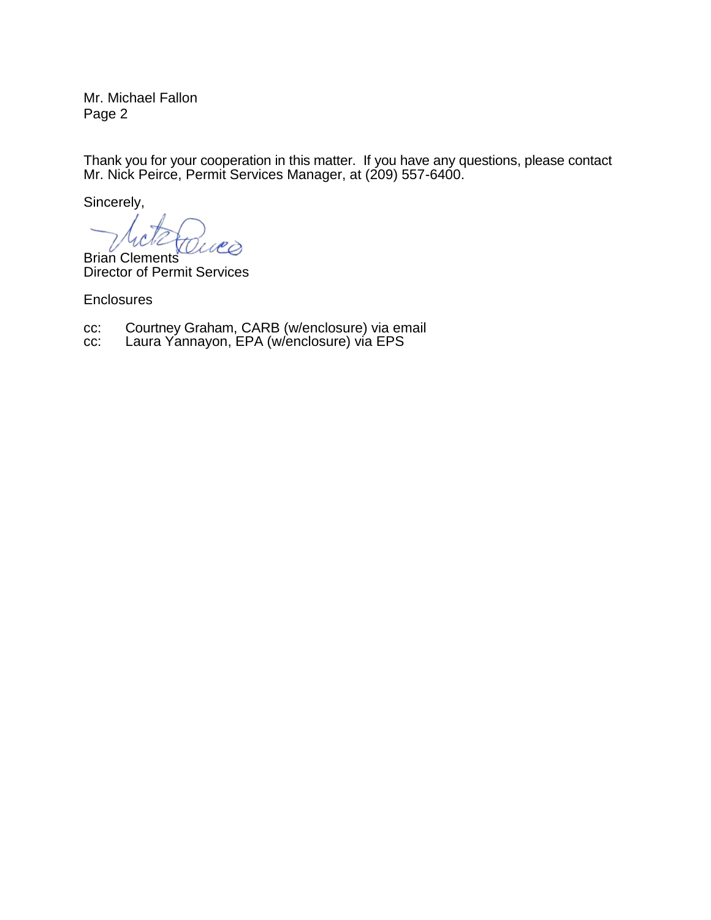Mr. Michael Fallon Page 2

Thank you for your cooperation in this matter. If you have any questions, please contact Mr. Nick Peirce, Permit Services Manager, at (209) 557-6400.

Sincerely,

Brian Clements Director of Permit Services

**Enclosures** 

- cc: Courtney Graham, CARB (w/enclosure) via email
- cc: Laura Yannayon, EPA (w/enclosure) via EPS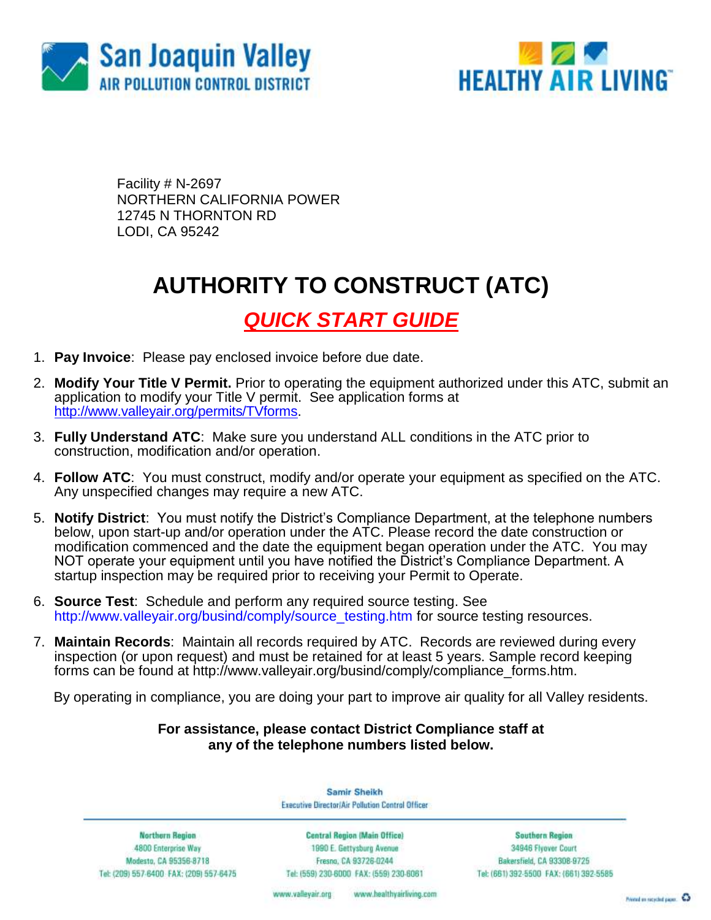



Facility # N-2697 NORTHERN CALIFORNIA POWER 12745 N THORNTON RD LODI, CA 95242

# **AUTHORITY TO CONSTRUCT (ATC)**

## *QUICK START GUIDE*

- 1. **Pay Invoice**: Please pay enclosed invoice before due date.
- 2. **Modify Your Title V Permit.** Prior to operating the equipment authorized under this ATC, submit an application to modify your Title V permit. See application forms at [http://www.valleyair.org/permits/TVforms.](http://www.valleyair.org/permits/TVforms)
- 3. **Fully Understand ATC**: Make sure you understand ALL conditions in the ATC prior to construction, modification and/or operation.
- 4. **Follow ATC**: You must construct, modify and/or operate your equipment as specified on the ATC. Any unspecified changes may require a new ATC.
- 5. **Notify District**: You must notify the District's Compliance Department, at the telephone numbers below, upon start-up and/or operation under the ATC. Please record the date construction or modification commenced and the date the equipment began operation under the ATC. You may NOT operate your equipment until you have notified the District's Compliance Department. A startup inspection may be required prior to receiving your Permit to Operate.
- 6. **Source Test**:Schedule and perform any required source testing. See [http://www.valleyair.org/busind/comply/source\\_testing.htm](http://www.valleyair.org/busind/comply/source_testing.htm) for source testing resources.
- 7. **Maintain Records**:Maintain all records required by ATC. Records are reviewed during every inspection (or upon request) and must be retained for at least 5 years. Sample record keeping forms can be found at http://www.valleyair.org/busind/comply/compliance\_forms.htm.

By operating in compliance, you are doing your part to improve air quality for all Valley residents.

### **For assistance, please contact District Compliance staff at any of the telephone numbers listed below.**

Samir Sheikh **Executive Director/Air Pollution Control Officer** 

Northern Region 4800 Enterprise Way Modesto, CA 95356-8718 Tel: (209) 557-6400 FAX: (209) 557-6475

Central Region (Main Office) 1990 E. Gettysburg Avenue Fresna, CA 93726-0244 Tel: (559) 230-6000 FAX: (559) 230-6061

**Southern Region** 34946 Flyover Court Bakersfield, CA 93308-9725 Tel: (661) 392-5500 FAX: (661) 392-5585

www.bealthyairliving.com www.valleyair.org

Preced on recycled paper. 43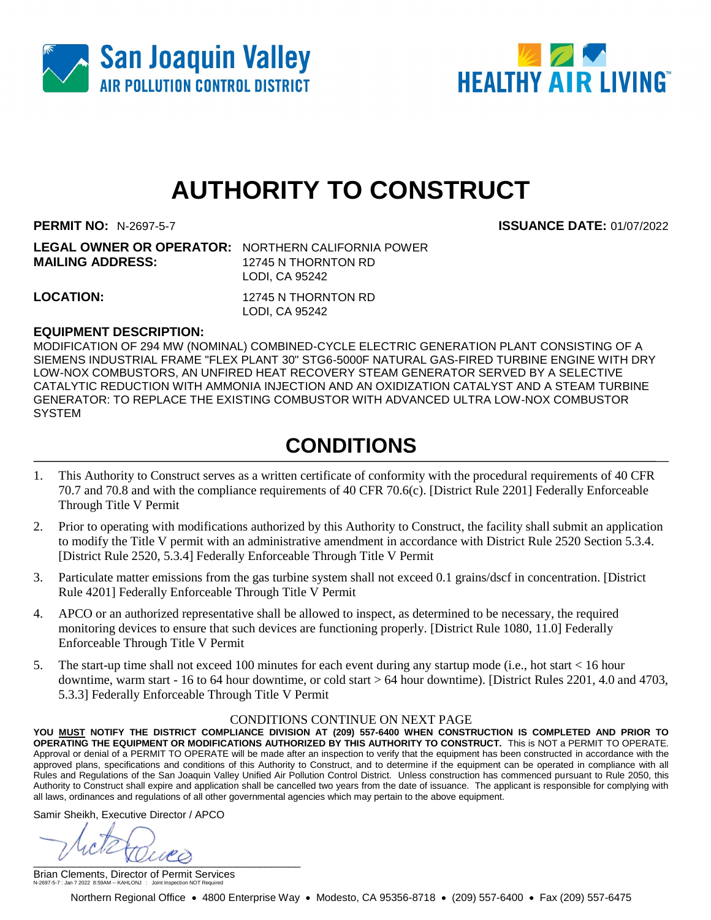



# **AUTHORITY TO CONSTRUCT**

**PERMIT NO:** N-2697-5-7 **ISSUANCE DATE:** 01/07/2022

| <b>LEGAL OWNER OR OPERATOR: NORTHERN CALIFORNIA POWER</b> |                     |
|-----------------------------------------------------------|---------------------|
| <b>MAILING ADDRESS:</b>                                   | 12745 N THORNTON RD |
|                                                           | LODI. CA 95242      |
| <b>LOCATION:</b>                                          | 12745 N THORNTON RD |

LODI, CA 95242

#### **EQUIPMENT DESCRIPTION:**

MODIFICATION OF 294 MW (NOMINAL) COMBINED-CYCLE ELECTRIC GENERATION PLANT CONSISTING OF A SIEMENS INDUSTRIAL FRAME "FLEX PLANT 30" STG6-5000F NATURAL GAS-FIRED TURBINE ENGINE WITH DRY LOW-NOX COMBUSTORS, AN UNFIRED HEAT RECOVERY STEAM GENERATOR SERVED BY A SELECTIVE CATALYTIC REDUCTION WITH AMMONIA INJECTION AND AN OXIDIZATION CATALYST AND A STEAM TURBINE GENERATOR: TO REPLACE THE EXISTING COMBUSTOR WITH ADVANCED ULTRA LOW-NOX COMBUSTOR SYSTEM

## **CONDITIONS**

- 1. This Authority to Construct serves as a written certificate of conformity with the procedural requirements of 40 CFR 70.7 and 70.8 and with the compliance requirements of 40 CFR 70.6(c). [District Rule 2201] Federally Enforceable Through Title V Permit
- 2. Prior to operating with modifications authorized by this Authority to Construct, the facility shall submit an application to modify the Title V permit with an administrative amendment in accordance with District Rule 2520 Section 5.3.4. [District Rule 2520, 5.3.4] Federally Enforceable Through Title V Permit
- 3. Particulate matter emissions from the gas turbine system shall not exceed 0.1 grains/dscf in concentration. [District Rule 4201] Federally Enforceable Through Title V Permit
- 4. APCO or an authorized representative shall be allowed to inspect, as determined to be necessary, the required monitoring devices to ensure that such devices are functioning properly. [District Rule 1080, 11.0] Federally Enforceable Through Title V Permit
- 5. The start-up time shall not exceed 100 minutes for each event during any startup mode (i.e., hot start < 16 hour downtime, warm start - 16 to 64 hour downtime, or cold start > 64 hour downtime). [District Rules 2201, 4.0 and 4703, 5.3.3] Federally Enforceable Through Title V Permit

#### CONDITIONS CONTINUE ON NEXT PAGE

**YOU MUST NOTIFY THE DISTRICT COMPLIANCE DIVISION AT (209) 557-6400 WHEN CONSTRUCTION IS COMPLETED AND PRIOR TO OPERATING THE EQUIPMENT OR MODIFICATIONS AUTHORIZED BY THIS AUTHORITY TO CONSTRUCT.** This is NOT a PERMIT TO OPERATE. Approval or denial of a PERMIT TO OPERATE will be made after an inspection to verify that the equipment has been constructed in accordance with the approved plans, specifications and conditions of this Authority to Construct, and to determine if the equipment can be operated in compliance with all Rules and Regulations of the San Joaquin Valley Unified Air Pollution Control District. Unless construction has commenced pursuant to Rule 2050, this Authority to Construct shall expire and application shall be cancelled two years from the date of issuance. The applicant is responsible for complying with all laws, ordinances and regulations of all other governmental agencies which may pertain to the above equipment.

Samir Sheikh, Executive Director / APCO

 $\frac{1}{2}$ 

Brian Clements, Director of Permit Services N-2697-5-7 : Jan 7 2022 8:59AM -- KAHLONJ : Joint Inspection NOT Required

Northern Regional Office • 4800 Enterprise Way • Modesto, CA 95356-8718 • (209) 557-6400 • Fax (209) 557-6475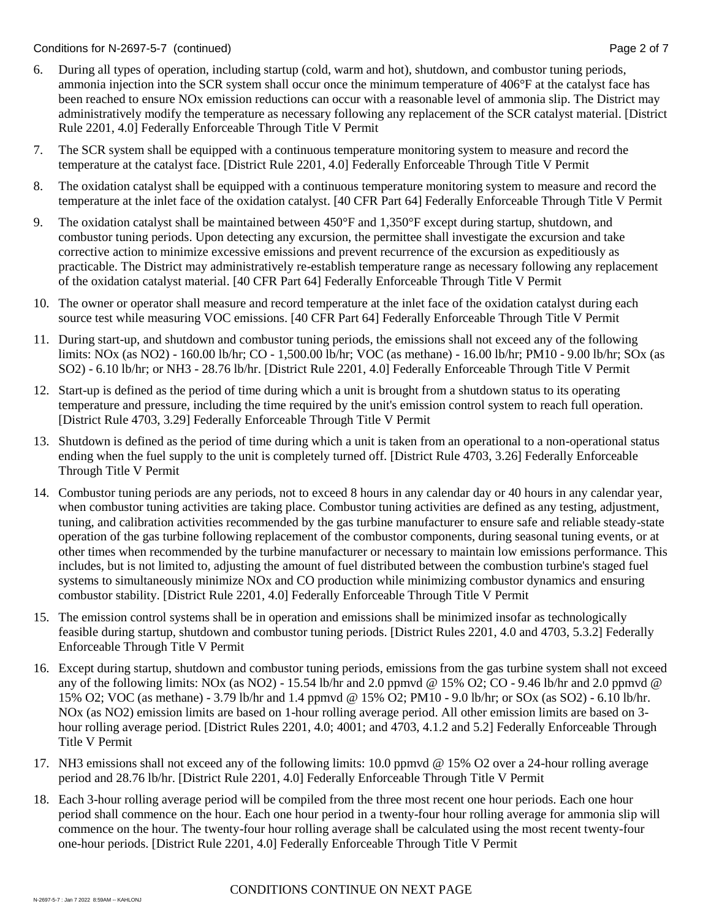- 6. During all types of operation, including startup (cold, warm and hot), shutdown, and combustor tuning periods, ammonia injection into the SCR system shall occur once the minimum temperature of 406°F at the catalyst face has been reached to ensure NOx emission reductions can occur with a reasonable level of ammonia slip. The District may administratively modify the temperature as necessary following any replacement of the SCR catalyst material. [District Rule 2201, 4.0] Federally Enforceable Through Title V Permit
- 7. The SCR system shall be equipped with a continuous temperature monitoring system to measure and record the temperature at the catalyst face. [District Rule 2201, 4.0] Federally Enforceable Through Title V Permit
- 8. The oxidation catalyst shall be equipped with a continuous temperature monitoring system to measure and record the temperature at the inlet face of the oxidation catalyst. [40 CFR Part 64] Federally Enforceable Through Title V Permit
- 9. The oxidation catalyst shall be maintained between 450°F and 1,350°F except during startup, shutdown, and combustor tuning periods. Upon detecting any excursion, the permittee shall investigate the excursion and take corrective action to minimize excessive emissions and prevent recurrence of the excursion as expeditiously as practicable. The District may administratively re-establish temperature range as necessary following any replacement of the oxidation catalyst material. [40 CFR Part 64] Federally Enforceable Through Title V Permit
- 10. The owner or operator shall measure and record temperature at the inlet face of the oxidation catalyst during each source test while measuring VOC emissions. [40 CFR Part 64] Federally Enforceable Through Title V Permit
- 11. During start-up, and shutdown and combustor tuning periods, the emissions shall not exceed any of the following limits: NOx (as NO2) - 160.00 lb/hr; CO - 1,500.00 lb/hr; VOC (as methane) - 16.00 lb/hr; PM10 - 9.00 lb/hr; SOx (as SO2) - 6.10 lb/hr; or NH3 - 28.76 lb/hr. [District Rule 2201, 4.0] Federally Enforceable Through Title V Permit
- 12. Start-up is defined as the period of time during which a unit is brought from a shutdown status to its operating temperature and pressure, including the time required by the unit's emission control system to reach full operation. [District Rule 4703, 3.29] Federally Enforceable Through Title V Permit
- 13. Shutdown is defined as the period of time during which a unit is taken from an operational to a non-operational status ending when the fuel supply to the unit is completely turned off. [District Rule 4703, 3.26] Federally Enforceable Through Title V Permit
- 14. Combustor tuning periods are any periods, not to exceed 8 hours in any calendar day or 40 hours in any calendar year, when combustor tuning activities are taking place. Combustor tuning activities are defined as any testing, adjustment, tuning, and calibration activities recommended by the gas turbine manufacturer to ensure safe and reliable steady-state operation of the gas turbine following replacement of the combustor components, during seasonal tuning events, or at other times when recommended by the turbine manufacturer or necessary to maintain low emissions performance. This includes, but is not limited to, adjusting the amount of fuel distributed between the combustion turbine's staged fuel systems to simultaneously minimize NOx and CO production while minimizing combustor dynamics and ensuring combustor stability. [District Rule 2201, 4.0] Federally Enforceable Through Title V Permit
- 15. The emission control systems shall be in operation and emissions shall be minimized insofar as technologically feasible during startup, shutdown and combustor tuning periods. [District Rules 2201, 4.0 and 4703, 5.3.2] Federally Enforceable Through Title V Permit
- 16. Except during startup, shutdown and combustor tuning periods, emissions from the gas turbine system shall not exceed any of the following limits: NOx (as NO2) - 15.54 lb/hr and 2.0 ppmvd @ 15% O2; CO - 9.46 lb/hr and 2.0 ppmvd @ 15% O2; VOC (as methane) - 3.79 lb/hr and 1.4 ppmvd @ 15% O2; PM10 - 9.0 lb/hr; or SOx (as SO2) - 6.10 lb/hr. NOx (as NO2) emission limits are based on 1-hour rolling average period. All other emission limits are based on 3 hour rolling average period. [District Rules 2201, 4.0; 4001; and 4703, 4.1.2 and 5.2] Federally Enforceable Through Title V Permit
- 17. NH3 emissions shall not exceed any of the following limits: 10.0 ppmvd @ 15% O2 over a 24-hour rolling average period and 28.76 lb/hr. [District Rule 2201, 4.0] Federally Enforceable Through Title V Permit
- 18. Each 3-hour rolling average period will be compiled from the three most recent one hour periods. Each one hour period shall commence on the hour. Each one hour period in a twenty-four hour rolling average for ammonia slip will commence on the hour. The twenty-four hour rolling average shall be calculated using the most recent twenty-four one-hour periods. [District Rule 2201, 4.0] Federally Enforceable Through Title V Permit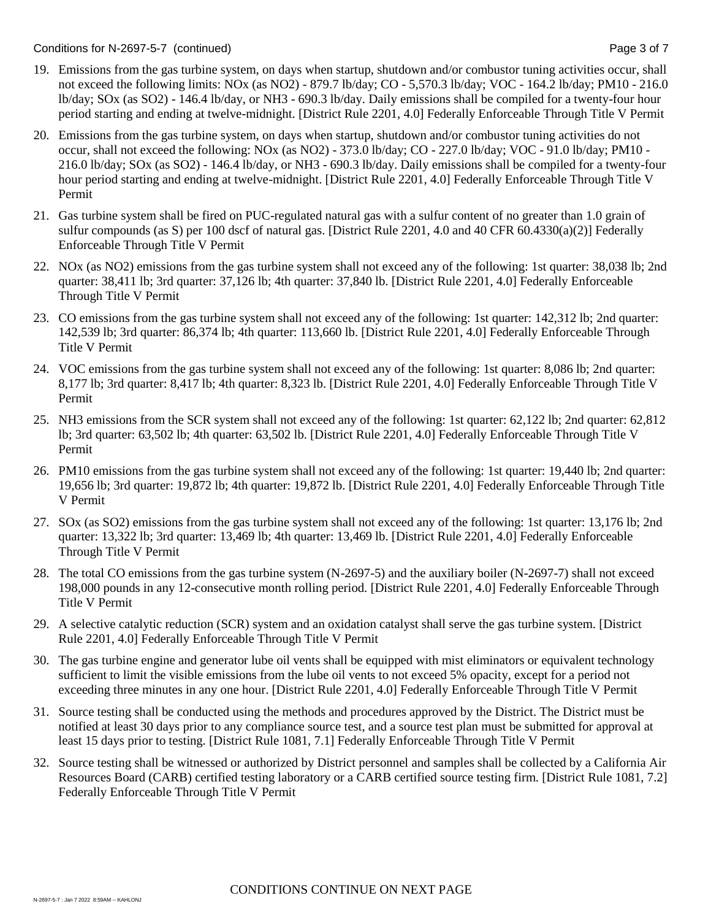- 19. Emissions from the gas turbine system, on days when startup, shutdown and/or combustor tuning activities occur, shall not exceed the following limits: NOx (as NO2) - 879.7 lb/day; CO - 5,570.3 lb/day; VOC - 164.2 lb/day; PM10 - 216.0 lb/day; SOx (as SO2) - 146.4 lb/day, or NH3 - 690.3 lb/day. Daily emissions shall be compiled for a twenty-four hour period starting and ending at twelve-midnight. [District Rule 2201, 4.0] Federally Enforceable Through Title V Permit
- 20. Emissions from the gas turbine system, on days when startup, shutdown and/or combustor tuning activities do not occur, shall not exceed the following: NOx (as NO2) - 373.0 lb/day; CO - 227.0 lb/day; VOC - 91.0 lb/day; PM10 - 216.0 lb/day; SOx (as SO2) - 146.4 lb/day, or NH3 - 690.3 lb/day. Daily emissions shall be compiled for a twenty-four hour period starting and ending at twelve-midnight. [District Rule 2201, 4.0] Federally Enforceable Through Title V Permit
- 21. Gas turbine system shall be fired on PUC-regulated natural gas with a sulfur content of no greater than 1.0 grain of sulfur compounds (as S) per 100 dscf of natural gas. [District Rule 2201, 4.0 and 40 CFR 60.4330(a)(2)] Federally Enforceable Through Title V Permit
- 22. NOx (as NO2) emissions from the gas turbine system shall not exceed any of the following: 1st quarter: 38,038 lb; 2nd quarter: 38,411 lb; 3rd quarter: 37,126 lb; 4th quarter: 37,840 lb. [District Rule 2201, 4.0] Federally Enforceable Through Title V Permit
- 23. CO emissions from the gas turbine system shall not exceed any of the following: 1st quarter: 142,312 lb; 2nd quarter: 142,539 lb; 3rd quarter: 86,374 lb; 4th quarter: 113,660 lb. [District Rule 2201, 4.0] Federally Enforceable Through Title V Permit
- 24. VOC emissions from the gas turbine system shall not exceed any of the following: 1st quarter: 8,086 lb; 2nd quarter: 8,177 lb; 3rd quarter: 8,417 lb; 4th quarter: 8,323 lb. [District Rule 2201, 4.0] Federally Enforceable Through Title V Permit
- 25. NH3 emissions from the SCR system shall not exceed any of the following: 1st quarter: 62,122 lb; 2nd quarter: 62,812 lb; 3rd quarter: 63,502 lb; 4th quarter: 63,502 lb. [District Rule 2201, 4.0] Federally Enforceable Through Title V Permit
- 26. PM10 emissions from the gas turbine system shall not exceed any of the following: 1st quarter: 19,440 lb; 2nd quarter: 19,656 lb; 3rd quarter: 19,872 lb; 4th quarter: 19,872 lb. [District Rule 2201, 4.0] Federally Enforceable Through Title V Permit
- 27. SOx (as SO2) emissions from the gas turbine system shall not exceed any of the following: 1st quarter: 13,176 lb; 2nd quarter: 13,322 lb; 3rd quarter: 13,469 lb; 4th quarter: 13,469 lb. [District Rule 2201, 4.0] Federally Enforceable Through Title V Permit
- 28. The total CO emissions from the gas turbine system (N-2697-5) and the auxiliary boiler (N-2697-7) shall not exceed 198,000 pounds in any 12-consecutive month rolling period. [District Rule 2201, 4.0] Federally Enforceable Through Title V Permit
- 29. A selective catalytic reduction (SCR) system and an oxidation catalyst shall serve the gas turbine system. [District Rule 2201, 4.0] Federally Enforceable Through Title V Permit
- 30. The gas turbine engine and generator lube oil vents shall be equipped with mist eliminators or equivalent technology sufficient to limit the visible emissions from the lube oil vents to not exceed 5% opacity, except for a period not exceeding three minutes in any one hour. [District Rule 2201, 4.0] Federally Enforceable Through Title V Permit
- 31. Source testing shall be conducted using the methods and procedures approved by the District. The District must be notified at least 30 days prior to any compliance source test, and a source test plan must be submitted for approval at least 15 days prior to testing. [District Rule 1081, 7.1] Federally Enforceable Through Title V Permit
- 32. Source testing shall be witnessed or authorized by District personnel and samples shall be collected by a California Air Resources Board (CARB) certified testing laboratory or a CARB certified source testing firm. [District Rule 1081, 7.2] Federally Enforceable Through Title V Permit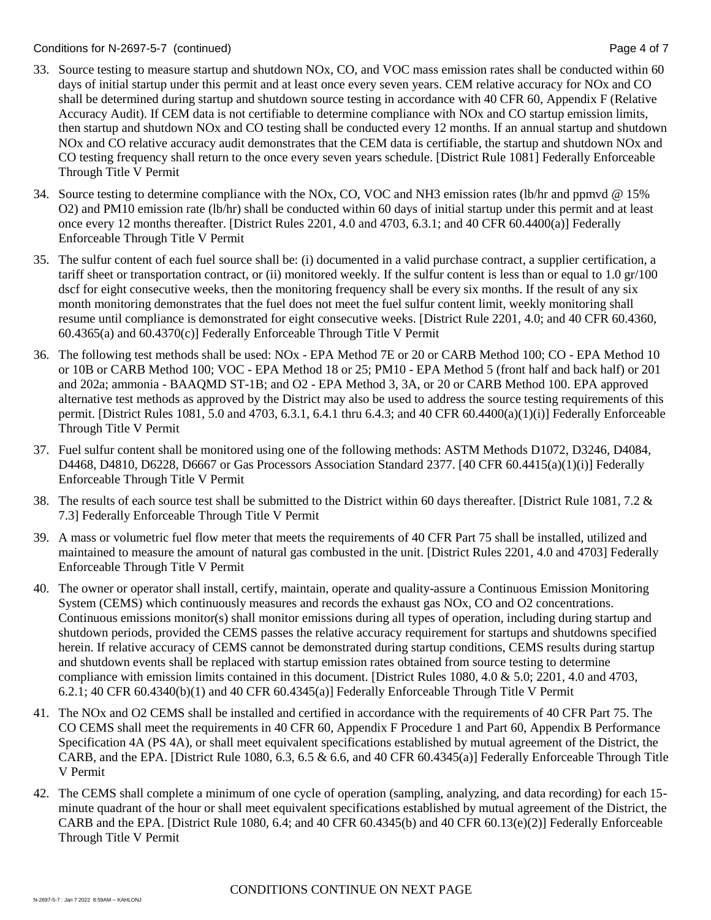- 33. Source testing to measure startup and shutdown NOx, CO, and VOC mass emission rates shall be conducted within 60 days of initial startup under this permit and at least once every seven years. CEM relative accuracy for NOx and CO shall be determined during startup and shutdown source testing in accordance with 40 CFR 60, Appendix F (Relative Accuracy Audit). If CEM data is not certifiable to determine compliance with NOx and CO startup emission limits, then startup and shutdown NOx and CO testing shall be conducted every 12 months. If an annual startup and shutdown NOx and CO relative accuracy audit demonstrates that the CEM data is certifiable, the startup and shutdown NOx and CO testing frequency shall return to the once every seven years schedule. [District Rule 1081] Federally Enforceable Through Title V Permit
- 34. Source testing to determine compliance with the NOx, CO, VOC and NH3 emission rates (lb/hr and ppmvd @ 15% O2) and PM10 emission rate (lb/hr) shall be conducted within 60 days of initial startup under this permit and at least once every 12 months thereafter. [District Rules 2201, 4.0 and 4703, 6.3.1; and 40 CFR 60.4400(a)] Federally Enforceable Through Title V Permit
- 35. The sulfur content of each fuel source shall be: (i) documented in a valid purchase contract, a supplier certification, a tariff sheet or transportation contract, or (ii) monitored weekly. If the sulfur content is less than or equal to 1.0 gr/100 dscf for eight consecutive weeks, then the monitoring frequency shall be every six months. If the result of any six month monitoring demonstrates that the fuel does not meet the fuel sulfur content limit, weekly monitoring shall resume until compliance is demonstrated for eight consecutive weeks. [District Rule 2201, 4.0; and 40 CFR 60.4360,  $60.4365(a)$  and  $60.4370(c)$ ] Federally Enforceable Through Title V Permit
- 36. The following test methods shall be used: NOx EPA Method 7E or 20 or CARB Method 100; CO EPA Method 10 or 10B or CARB Method 100; VOC - EPA Method 18 or 25; PM10 - EPA Method 5 (front half and back half) or 201 and 202a; ammonia - BAAQMD ST-1B; and O2 - EPA Method 3, 3A, or 20 or CARB Method 100. EPA approved alternative test methods as approved by the District may also be used to address the source testing requirements of this permit. [District Rules 1081, 5.0 and 4703, 6.3.1, 6.4.1 thru 6.4.3; and 40 CFR 60.4400(a)(1)(i)] Federally Enforceable Through Title V Permit
- 37. Fuel sulfur content shall be monitored using one of the following methods: ASTM Methods D1072, D3246, D4084, D4468, D4810, D6228, D6667 or Gas Processors Association Standard 2377. [40 CFR 60.4415(a)(1)(i)] Federally Enforceable Through Title V Permit
- 38. The results of each source test shall be submitted to the District within 60 days thereafter. [District Rule 1081, 7.2  $\&$ 7.3] Federally Enforceable Through Title V Permit
- 39. A mass or volumetric fuel flow meter that meets the requirements of 40 CFR Part 75 shall be installed, utilized and maintained to measure the amount of natural gas combusted in the unit. [District Rules 2201, 4.0 and 4703] Federally Enforceable Through Title V Permit
- 40. The owner or operator shall install, certify, maintain, operate and quality-assure a Continuous Emission Monitoring System (CEMS) which continuously measures and records the exhaust gas NOx, CO and O2 concentrations. Continuous emissions monitor(s) shall monitor emissions during all types of operation, including during startup and shutdown periods, provided the CEMS passes the relative accuracy requirement for startups and shutdowns specified herein. If relative accuracy of CEMS cannot be demonstrated during startup conditions, CEMS results during startup and shutdown events shall be replaced with startup emission rates obtained from source testing to determine compliance with emission limits contained in this document. [District Rules 1080, 4.0 & 5.0; 2201, 4.0 and 4703,  $6.2.1$ ; 40 CFR  $60.4340(b)(1)$  and 40 CFR  $60.4345(a)$ ] Federally Enforceable Through Title V Permit
- 41. The NOx and O2 CEMS shall be installed and certified in accordance with the requirements of 40 CFR Part 75. The CO CEMS shall meet the requirements in 40 CFR 60, Appendix F Procedure 1 and Part 60, Appendix B Performance Specification 4A (PS 4A), or shall meet equivalent specifications established by mutual agreement of the District, the CARB, and the EPA. [District Rule 1080, 6.3, 6.5  $\&$  6.6, and 40 CFR 60.4345(a)] Federally Enforceable Through Title V Permit
- 42. The CEMS shall complete a minimum of one cycle of operation (sampling, analyzing, and data recording) for each 15 minute quadrant of the hour or shall meet equivalent specifications established by mutual agreement of the District, the CARB and the EPA. [District Rule 1080, 6.4; and 40 CFR 60.4345(b) and 40 CFR 60.13(e)(2)] Federally Enforceable Through Title V Permit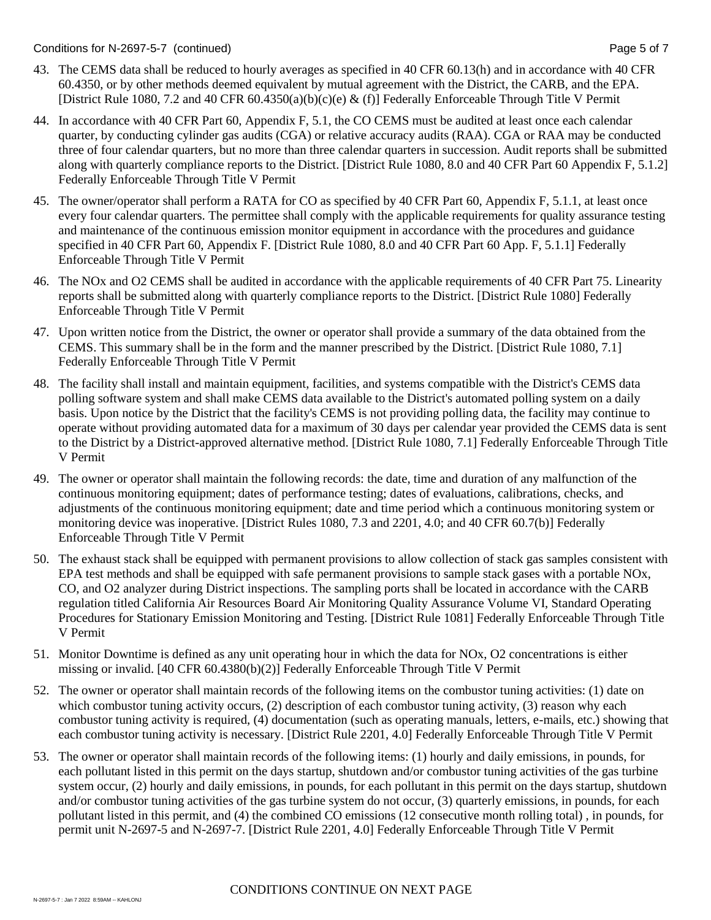- 43. The CEMS data shall be reduced to hourly averages as specified in 40 CFR 60.13(h) and in accordance with 40 CFR 60.4350, or by other methods deemed equivalent by mutual agreement with the District, the CARB, and the EPA. [District Rule 1080, 7.2 and 40 CFR 60.4350(a)(b)(c)(e) & (f)] Federally Enforceable Through Title V Permit
- 44. In accordance with 40 CFR Part 60, Appendix F, 5.1, the CO CEMS must be audited at least once each calendar quarter, by conducting cylinder gas audits (CGA) or relative accuracy audits (RAA). CGA or RAA may be conducted three of four calendar quarters, but no more than three calendar quarters in succession. Audit reports shall be submitted along with quarterly compliance reports to the District. [District Rule 1080, 8.0 and 40 CFR Part 60 Appendix F, 5.1.2] Federally Enforceable Through Title V Permit
- 45. The owner/operator shall perform a RATA for CO as specified by 40 CFR Part 60, Appendix F, 5.1.1, at least once every four calendar quarters. The permittee shall comply with the applicable requirements for quality assurance testing and maintenance of the continuous emission monitor equipment in accordance with the procedures and guidance specified in 40 CFR Part 60, Appendix F. [District Rule 1080, 8.0 and 40 CFR Part 60 App. F, 5.1.1] Federally Enforceable Through Title V Permit
- 46. The NOx and O2 CEMS shall be audited in accordance with the applicable requirements of 40 CFR Part 75. Linearity reports shall be submitted along with quarterly compliance reports to the District. [District Rule 1080] Federally Enforceable Through Title V Permit
- 47. Upon written notice from the District, the owner or operator shall provide a summary of the data obtained from the CEMS. This summary shall be in the form and the manner prescribed by the District. [District Rule 1080, 7.1] Federally Enforceable Through Title V Permit
- 48. The facility shall install and maintain equipment, facilities, and systems compatible with the District's CEMS data polling software system and shall make CEMS data available to the District's automated polling system on a daily basis. Upon notice by the District that the facility's CEMS is not providing polling data, the facility may continue to operate without providing automated data for a maximum of 30 days per calendar year provided the CEMS data is sent to the District by a District-approved alternative method. [District Rule 1080, 7.1] Federally Enforceable Through Title V Permit
- 49. The owner or operator shall maintain the following records: the date, time and duration of any malfunction of the continuous monitoring equipment; dates of performance testing; dates of evaluations, calibrations, checks, and adjustments of the continuous monitoring equipment; date and time period which a continuous monitoring system or monitoring device was inoperative. [District Rules 1080, 7.3 and 2201, 4.0; and 40 CFR 60.7(b)] Federally Enforceable Through Title V Permit
- 50. The exhaust stack shall be equipped with permanent provisions to allow collection of stack gas samples consistent with EPA test methods and shall be equipped with safe permanent provisions to sample stack gases with a portable NOx, CO, and O2 analyzer during District inspections. The sampling ports shall be located in accordance with the CARB regulation titled California Air Resources Board Air Monitoring Quality Assurance Volume VI, Standard Operating Procedures for Stationary Emission Monitoring and Testing. [District Rule 1081] Federally Enforceable Through Title V Permit
- 51. Monitor Downtime is defined as any unit operating hour in which the data for NOx, O2 concentrations is either missing or invalid. [40 CFR 60.4380(b)(2)] Federally Enforceable Through Title V Permit
- 52. The owner or operator shall maintain records of the following items on the combustor tuning activities: (1) date on which combustor tuning activity occurs, (2) description of each combustor tuning activity, (3) reason why each combustor tuning activity is required, (4) documentation (such as operating manuals, letters, e-mails, etc.) showing that each combustor tuning activity is necessary. [District Rule 2201, 4.0] Federally Enforceable Through Title V Permit
- 53. The owner or operator shall maintain records of the following items: (1) hourly and daily emissions, in pounds, for each pollutant listed in this permit on the days startup, shutdown and/or combustor tuning activities of the gas turbine system occur, (2) hourly and daily emissions, in pounds, for each pollutant in this permit on the days startup, shutdown and/or combustor tuning activities of the gas turbine system do not occur, (3) quarterly emissions, in pounds, for each pollutant listed in this permit, and (4) the combined CO emissions (12 consecutive month rolling total) , in pounds, for permit unit N-2697-5 and N-2697-7. [District Rule 2201, 4.0] Federally Enforceable Through Title V Permit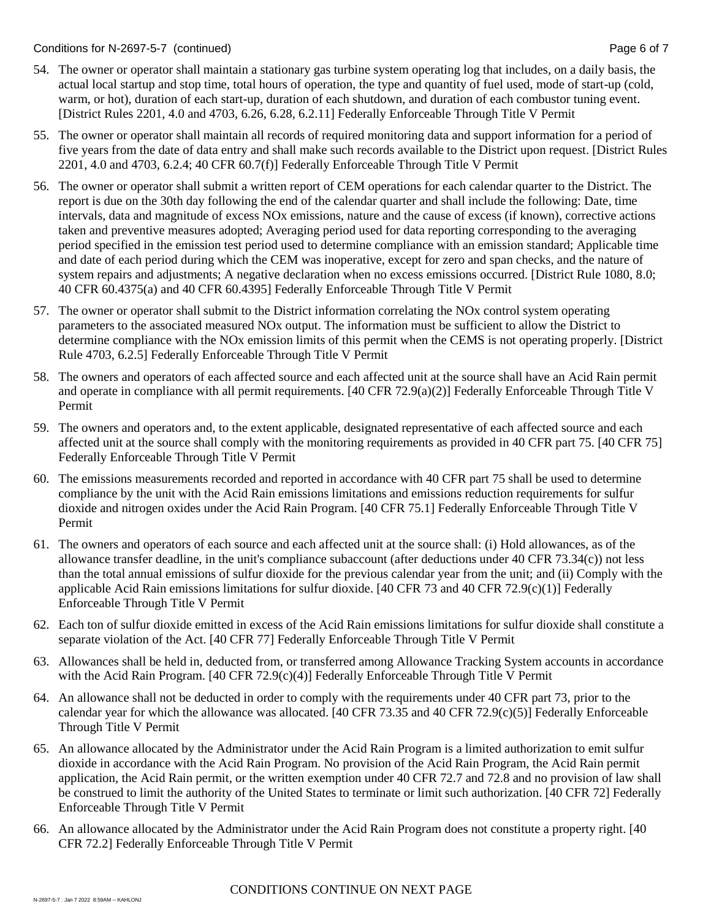- 54. The owner or operator shall maintain a stationary gas turbine system operating log that includes, on a daily basis, the actual local startup and stop time, total hours of operation, the type and quantity of fuel used, mode of start-up (cold, warm, or hot), duration of each start-up, duration of each shutdown, and duration of each combustor tuning event. [District Rules 2201, 4.0 and 4703, 6.26, 6.28, 6.2.11] Federally Enforceable Through Title V Permit
- 55. The owner or operator shall maintain all records of required monitoring data and support information for a period of five years from the date of data entry and shall make such records available to the District upon request. [District Rules 2201, 4.0 and 4703, 6.2.4; 40 CFR 60.7(f)] Federally Enforceable Through Title V Permit
- 56. The owner or operator shall submit a written report of CEM operations for each calendar quarter to the District. The report is due on the 30th day following the end of the calendar quarter and shall include the following: Date, time intervals, data and magnitude of excess NOx emissions, nature and the cause of excess (if known), corrective actions taken and preventive measures adopted; Averaging period used for data reporting corresponding to the averaging period specified in the emission test period used to determine compliance with an emission standard; Applicable time and date of each period during which the CEM was inoperative, except for zero and span checks, and the nature of system repairs and adjustments; A negative declaration when no excess emissions occurred. [District Rule 1080, 8.0; 40 CFR 60.4375(a) and 40 CFR 60.4395] Federally Enforceable Through Title V Permit
- 57. The owner or operator shall submit to the District information correlating the NOx control system operating parameters to the associated measured NOx output. The information must be sufficient to allow the District to determine compliance with the NOx emission limits of this permit when the CEMS is not operating properly. [District Rule 4703, 6.2.5] Federally Enforceable Through Title V Permit
- 58. The owners and operators of each affected source and each affected unit at the source shall have an Acid Rain permit and operate in compliance with all permit requirements. [40 CFR 72.9(a)(2)] Federally Enforceable Through Title V Permit
- 59. The owners and operators and, to the extent applicable, designated representative of each affected source and each affected unit at the source shall comply with the monitoring requirements as provided in 40 CFR part 75. [40 CFR 75] Federally Enforceable Through Title V Permit
- 60. The emissions measurements recorded and reported in accordance with 40 CFR part 75 shall be used to determine compliance by the unit with the Acid Rain emissions limitations and emissions reduction requirements for sulfur dioxide and nitrogen oxides under the Acid Rain Program. [40 CFR 75.1] Federally Enforceable Through Title V Permit
- 61. The owners and operators of each source and each affected unit at the source shall: (i) Hold allowances, as of the allowance transfer deadline, in the unit's compliance subaccount (after deductions under 40 CFR 73.34(c)) not less than the total annual emissions of sulfur dioxide for the previous calendar year from the unit; and (ii) Comply with the applicable Acid Rain emissions limitations for sulfur dioxide. [40 CFR 73 and 40 CFR 72.9(c)(1)] Federally Enforceable Through Title V Permit
- 62. Each ton of sulfur dioxide emitted in excess of the Acid Rain emissions limitations for sulfur dioxide shall constitute a separate violation of the Act. [40 CFR 77] Federally Enforceable Through Title V Permit
- 63. Allowances shall be held in, deducted from, or transferred among Allowance Tracking System accounts in accordance with the Acid Rain Program. [40 CFR 72.9(c)(4)] Federally Enforceable Through Title V Permit
- 64. An allowance shall not be deducted in order to comply with the requirements under 40 CFR part 73, prior to the calendar year for which the allowance was allocated. [40 CFR 73.35 and 40 CFR 72.9(c)(5)] Federally Enforceable Through Title V Permit
- 65. An allowance allocated by the Administrator under the Acid Rain Program is a limited authorization to emit sulfur dioxide in accordance with the Acid Rain Program. No provision of the Acid Rain Program, the Acid Rain permit application, the Acid Rain permit, or the written exemption under 40 CFR 72.7 and 72.8 and no provision of law shall be construed to limit the authority of the United States to terminate or limit such authorization. [40 CFR 72] Federally Enforceable Through Title V Permit
- 66. An allowance allocated by the Administrator under the Acid Rain Program does not constitute a property right. [40 CFR 72.2] Federally Enforceable Through Title V Permit